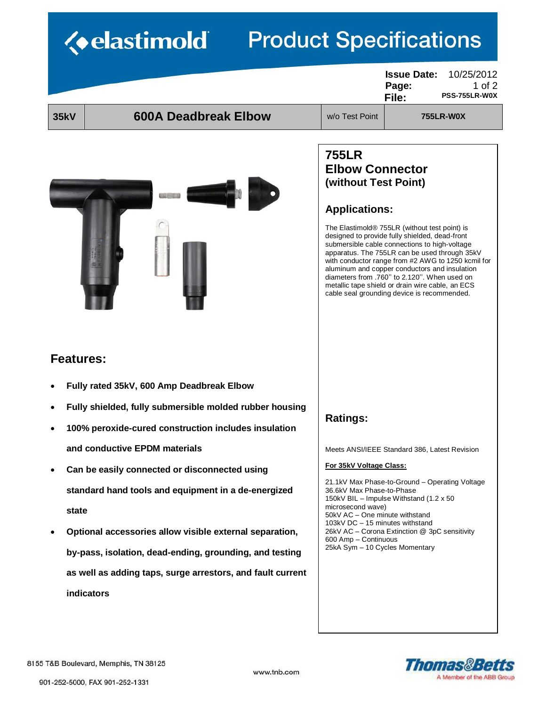# *<u><b>Velastimold</u>* **Product Specifications**

|                  |                                                            |                                                                                                                                                                                                                                                                                            | <b>Issue Date:</b><br>10/25/2012<br>Page:<br>1 of $2$<br><b>PSS-755LR-W0X</b><br>File:                                                                                                                                                                                                                                                                                                                                                                                  |  |
|------------------|------------------------------------------------------------|--------------------------------------------------------------------------------------------------------------------------------------------------------------------------------------------------------------------------------------------------------------------------------------------|-------------------------------------------------------------------------------------------------------------------------------------------------------------------------------------------------------------------------------------------------------------------------------------------------------------------------------------------------------------------------------------------------------------------------------------------------------------------------|--|
| <b>35kV</b>      | <b>600A Deadbreak Elbow</b>                                | w/o Test Point                                                                                                                                                                                                                                                                             | <b>755LR-W0X</b>                                                                                                                                                                                                                                                                                                                                                                                                                                                        |  |
|                  |                                                            | <b>755LR</b><br><b>Elbow Connector</b><br>(without Test Point)<br><b>Applications:</b>                                                                                                                                                                                                     | The Elastimold <sup>®</sup> 755LR (without test point) is<br>designed to provide fully shielded, dead-front<br>submersible cable connections to high-voltage<br>apparatus. The 755LR can be used through 35kV<br>with conductor range from #2 AWG to 1250 kcmil for<br>aluminum and copper conductors and insulation<br>diameters from .760" to 2.120". When used on<br>metallic tape shield or drain wire cable, an ECS<br>cable seal grounding device is recommended. |  |
| <b>Features:</b> |                                                            |                                                                                                                                                                                                                                                                                            |                                                                                                                                                                                                                                                                                                                                                                                                                                                                         |  |
|                  | Fully rated 35kV, 600 Amp Deadbreak Elbow                  |                                                                                                                                                                                                                                                                                            |                                                                                                                                                                                                                                                                                                                                                                                                                                                                         |  |
|                  | Fully shielded, fully submersible molded rubber housing    | <b>Ratings:</b>                                                                                                                                                                                                                                                                            |                                                                                                                                                                                                                                                                                                                                                                                                                                                                         |  |
|                  | 100% peroxide-cured construction includes insulation       |                                                                                                                                                                                                                                                                                            |                                                                                                                                                                                                                                                                                                                                                                                                                                                                         |  |
|                  | and conductive EPDM materials                              |                                                                                                                                                                                                                                                                                            | Meets ANSI/IEEE Standard 386, Latest Revision                                                                                                                                                                                                                                                                                                                                                                                                                           |  |
|                  | Can be easily connected or disconnected using              | For 35kV Voltage Class:                                                                                                                                                                                                                                                                    |                                                                                                                                                                                                                                                                                                                                                                                                                                                                         |  |
|                  | standard hand tools and equipment in a de-energized        | 21.1kV Max Phase-to-Ground - Operating Voltage<br>36.6kV Max Phase-to-Phase<br>150kV BIL - Impulse Withstand (1.2 x 50)<br>microsecond wave)<br>50kV AC - One minute withstand<br>103kV DC - 15 minutes withstand<br>26kV AC - Corona Extinction @ 3pC sensitivity<br>600 Amp - Continuous |                                                                                                                                                                                                                                                                                                                                                                                                                                                                         |  |
| state            |                                                            |                                                                                                                                                                                                                                                                                            |                                                                                                                                                                                                                                                                                                                                                                                                                                                                         |  |
|                  | Optional accessories allow visible external separation,    |                                                                                                                                                                                                                                                                                            |                                                                                                                                                                                                                                                                                                                                                                                                                                                                         |  |
|                  | by-pass, isolation, dead-ending, grounding, and testing    | 25kA Sym - 10 Cycles Momentary                                                                                                                                                                                                                                                             |                                                                                                                                                                                                                                                                                                                                                                                                                                                                         |  |
|                  | as well as adding taps, surge arrestors, and fault current |                                                                                                                                                                                                                                                                                            |                                                                                                                                                                                                                                                                                                                                                                                                                                                                         |  |
|                  | indicators                                                 |                                                                                                                                                                                                                                                                                            |                                                                                                                                                                                                                                                                                                                                                                                                                                                                         |  |
|                  |                                                            |                                                                                                                                                                                                                                                                                            |                                                                                                                                                                                                                                                                                                                                                                                                                                                                         |  |